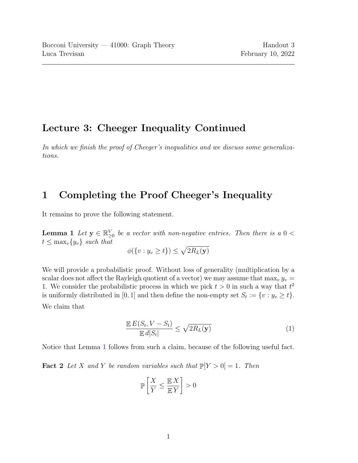## Lecture 3: Cheeger Inequality Continued

In which we finish the proof of Cheeger's inequalities and we discuss some generalizations.

## 1 Completing the Proof Cheeger's Inequality

<span id="page-0-0"></span>It remains to prove the following statement.

**Lemma 1** Let  $y \in \mathbb{R}_{\geq 0}^V$  be a vector with non-negative entries. Then there is a  $0 <$  $t \leq \max_v \{y_v\}$  such that

$$
\phi(\{v: y_v \ge t\}) \le \sqrt{2R_L(\mathbf{y})}
$$

We will provide a probabilistic proof. Without loss of generality (multiplication by a scalar does not affect the Rayleigh quotient of a vector) we may assume that  $\max_{y} y_v =$ 1. We consider the probabilistic process in which we pick  $t > 0$  in such a way that  $t^2$ is uniformly distributed in [0, 1] and then define the non-empty set  $S_t := \{v : y_v \ge t\}.$ We claim that

$$
\frac{\mathbb{E} E(S_t, V - S_t)}{\mathbb{E} d|S_t|} \le \sqrt{2R_L(\mathbf{y})}
$$
\n(1)

<span id="page-0-1"></span>Notice that Lemma [1](#page-0-0) follows from such a claim, because of the following useful fact.

**Fact 2** Let X and Y be random variables such that  $\mathbb{P}[Y > 0] = 1$ . Then

$$
\mathbb{P}\left[\frac{X}{Y}\leq \frac{\mathbb{E}\,X}{\mathbb{E}\,Y}\right]>0
$$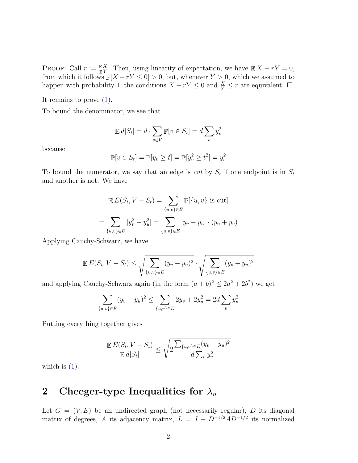PROOF: Call  $r := \frac{\mathbb{E}X}{\mathbb{E}Y}$ . Then, using linearity of expectation, we have  $\mathbb{E}X - rY = 0$ , from which it follows  $\mathbb{P}[X - rY \leq 0] > 0$ , but, whenever  $Y > 0$ , which we assumed to happen with probability 1, the conditions  $X - rY \leq 0$  and  $\frac{X}{Y} \leq r$  are equivalent.  $\Box$ 

It remains to prove  $(1)$ .

To bound the denominator, we see that

$$
\mathbb{E} \, d|S_t| = d \cdot \sum_{v \in V} \mathbb{P}[v \in S_t] = d \sum_v y_v^2
$$

because

$$
\mathbb{P}[v \in S_t] = \mathbb{P}[y_v \ge t] = \mathbb{P}[y_v^2 \ge t^2] = y_v^2
$$

To bound the numerator, we say that an edge is *cut* by  $S_t$  if one endpoint is in  $S_t$ and another is not. We have

$$
\mathbb{E} E(S_t, V - S_t) = \sum_{\{u,v\} \in E} \mathbb{P}[\{u, v\} \text{ is cut}]
$$
  
= 
$$
\sum_{\{u,v\} \in E} |y_v^2 - y_u^2| = \sum_{\{u,v\} \in E} |y_v - y_u| \cdot (y_u + y_v)
$$

Applying Cauchy-Schwarz, we have

$$
\mathbb{E} E(S_t, V - S_t) \le \sqrt{\sum_{\{u,v\} \in E} (y_v - y_u)^2} \cdot \sqrt{\sum_{\{u,v\} \in E} (y_v + y_u)^2}
$$

and applying Cauchy-Schwarz again (in the form  $(a + b)^2 \leq 2a^2 + 2b^2$ ) we get

$$
\sum_{\{u,v\}\in E} (y_v + y_u)^2 \le \sum_{\{u,v\}\in E} 2y_v + 2y_u^2 = 2d \sum_v y_v^2
$$

Putting everything together gives

$$
\frac{\mathbb{E} E(S_t, V - S_t)}{\mathbb{E} d |S_t|} \le \sqrt{2 \frac{\sum_{\{u, v\} \in E} (y_v - y_u)^2}{d \sum_v y_v^2}}
$$

which is  $(1)$ .

## 2 Cheeger-type Inequalities for  $\lambda_n$

Let  $G = (V, E)$  be an undirected graph (not necessarily regular), D its diagonal matrix of degrees, A its adjacency matrix,  $L = I - D^{-1/2}AD^{-1/2}$  its normalized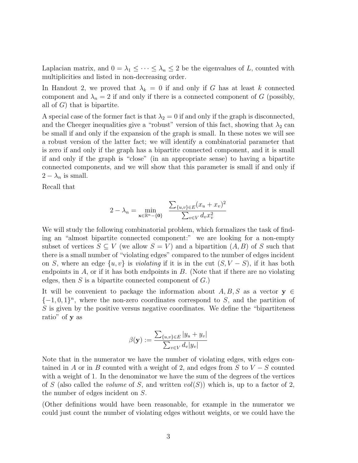Laplacian matrix, and  $0 = \lambda_1 \leq \cdots \leq \lambda_n \leq 2$  be the eigenvalues of L, counted with multiplicities and listed in non-decreasing order.

In Handout 2, we proved that  $\lambda_k = 0$  if and only if G has at least k connected component and  $\lambda_n = 2$  if and only if there is a connected component of G (possibly, all of  $G$ ) that is bipartite.

A special case of the former fact is that  $\lambda_2 = 0$  if and only if the graph is disconnected, and the Cheeger inequalities give a "robust" version of this fact, showing that  $\lambda_2$  can be small if and only if the expansion of the graph is small. In these notes we will see a robust version of the latter fact; we will identify a combinatorial parameter that is zero if and only if the graph has a bipartite connected component, and it is small if and only if the graph is "close" (in an appropriate sense) to having a bipartite connected components, and we will show that this parameter is small if and only if  $2 - \lambda_n$  is small.

Recall that

$$
2 - \lambda_n = \min_{\mathbf{x} \in \mathbb{R}^n - \{\mathbf{0}\}} \quad \frac{\sum_{\{u,v\} \in E} (x_u + x_v)^2}{\sum_{v \in V} d_v x_v^2}
$$

We will study the following combinatorial problem, which formalizes the task of finding an "almost bipartite connected component:" we are looking for a non-empty subset of vertices  $S \subseteq V$  (we allow  $S = V$ ) and a bipartition  $(A, B)$  of S such that there is a small number of "violating edges" compared to the number of edges incident on S, where an edge  $\{u, v\}$  is *violating* if it is in the cut  $(S, V - S)$ , if it has both endpoints in  $A$ , or if it has both endpoints in  $B$ . (Note that if there are no violating edges, then  $S$  is a bipartite connected component of  $G$ .)

It will be convenient to package the information about  $A, B, S$  as a vector  $y \in$  $\{-1,0,1\}^n$ , where the non-zero coordinates correspond to S, and the partition of  $S$  is given by the positive versus negative coordinates. We define the "bipartiteness" ratio" of y as

$$
\beta(\mathbf{y}) := \frac{\sum_{\{u,v\} \in E} |y_u + y_v|}{\sum_{v \in V} d_v |y_v|}
$$

Note that in the numerator we have the number of violating edges, with edges contained in A or in B counted with a weight of 2, and edges from S to  $V-S$  counted with a weight of 1. In the denominator we have the sum of the degrees of the vertices of S (also called the *volume* of S, and written  $vol(S)$ ) which is, up to a factor of 2, the number of edges incident on S.

(Other definitions would have been reasonable, for example in the numerator we could just count the number of violating edges without weights, or we could have the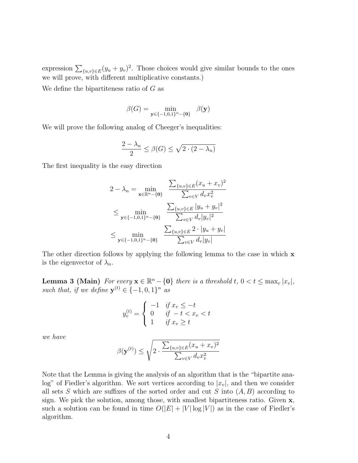expression  $\sum_{\{u,v\}\in E} (y_u + y_v)^2$ . Those choices would give similar bounds to the ones we will prove, with different multiplicative constants.)

We define the bipartiteness ratio of  $G$  as

$$
\beta(G) = \min_{\mathbf{y} \in \{-1,0,1\}^n - \{\mathbf{0}\}} \beta(\mathbf{y})
$$

We will prove the following analog of Cheeger's inequalities:

$$
\frac{2-\lambda_n}{2} \le \beta(G) \le \sqrt{2 \cdot (2 - \lambda_n)}
$$

The first inequality is the easy direction

$$
2 - \lambda_n = \min_{\mathbf{x} \in \mathbb{R}^n - \{\mathbf{0}\}} \frac{\sum_{\{u,v\} \in E} (x_u + x_v)^2}{\sum_{v \in V} d_v x_v^2}
$$
  
\n
$$
\leq \min_{\mathbf{y} \in \{-1,0,1\}^n - \{\mathbf{0}\}} \frac{\sum_{\{u,v\} \in E} |y_u + y_v|^2}{\sum_{v \in V} d_v |y_v|^2}
$$
  
\n
$$
\leq \min_{\mathbf{y} \in \{-1,0,1\}^n - \{\mathbf{0}\}} \frac{\sum_{\{u,v\} \in E} 2 \cdot |y_u + y_v|}{\sum_{v \in V} d_v |y_v|}
$$

The other direction follows by applying the following lemma to the case in which **x** is the eigenvector of  $\lambda_n$ .

**Lemma 3 (Main)** For every  $\mathbf{x} \in \mathbb{R}^n - \{0\}$  there is a threshold  $t, 0 < t \leq \max_v |x_v|$ , such that, if we define  $\mathbf{y}^{(t)} \in \{-1,0,1\}^n$  as

$$
y_v^{(t)} = \begin{cases} -1 & \text{if } x_v \le -t \\ 0 & \text{if } -t < x_v < t \\ 1 & \text{if } x_v \ge t \end{cases}
$$

we have

$$
\beta(\mathbf{y}^{(t)}) \le \sqrt{2 \cdot \frac{\sum_{\{u,v\} \in E} (x_u + x_v)^2}{\sum_{v \in V} d_v x_v^2}}
$$

Note that the Lemma is giving the analysis of an algorithm that is the "bipartite analog" of Fiedler's algorithm. We sort vertices according to  $|x_v|$ , and then we consider all sets S which are suffixes of the sorted order and cut S into  $(A, B)$  according to sign. We pick the solution, among those, with smallest bipartiteness ratio. Given x, such a solution can be found in time  $O(|E| + |V| \log |V|)$  as in the case of Fiedler's algorithm.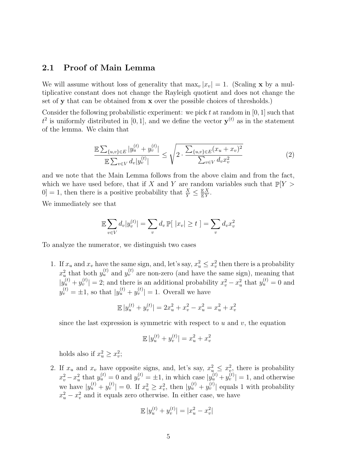## 2.1 Proof of Main Lemma

We will assume without loss of generality that  $\max_v |x_v| = 1$ . (Scaling **x** by a multiplicative constant does not change the Rayleigh quotient and does not change the set of y that can be obtained from x over the possible choices of thresholds.)

<span id="page-4-0"></span>Consider the following probabilistic experiment: we pick t at random in  $[0, 1]$  such that  $t^2$  is uniformly distributed in [0, 1], and we define the vector  $y^{(t)}$  as in the statement of the lemma. We claim that

$$
\frac{\mathbb{E}\sum_{\{u,v\}\in E}|y_u^{(t)} + y_v^{(t)}|}{\mathbb{E}\sum_{v\in V}d_v|y_v^{(t)}|} \le \sqrt{2 \cdot \frac{\sum_{\{u,v\}\in E}(x_u + x_v)^2}{\sum_{v\in V}d_v x_v^2}}
$$
(2)

and we note that the Main Lemma follows from the above claim and from the fact, which we have used before, that if X and Y are random variables such that  $\mathbb{P}[Y>$  $[0] = 1$ , then there is a positive probability that  $\frac{X}{Y} \leq \frac{\mathbb{E}X}{\mathbb{E}Y}$ .

We immediately see that

$$
\mathbb{E}\sum_{v\in V}d_v|y_v^{(t)}| = \sum_v d_v \mathbb{P}[\ |x_v|\geq t \ ] = \sum_v d_v x_v^2
$$

To analyze the numerator, we distinguish two cases

1. If  $x_u$  and  $x_v$  have the same sign, and, let's say,  $x_u^2 \leq x_v^2$  then there is a probability  $x_u^2$  that both  $y_u^{(t)}$  and  $y_v^{(t)}$  are non-zero (and have the same sign), meaning that  $|y_u^{(t)} + y_v^{(t)}| = 2$ ; and there is an additional probability  $x_v^2 - x_u^2$  that  $y_u^{(t)} = 0$  and  $y_v^{(t)} = \pm 1$ , so that  $|y_u^{(t)} + y_v^{(t)}| = 1$ . Overall we have

$$
\mathbb{E} |y^{(t)}_u+y^{(t)}_v| = 2x_u^2+x_v^2-x_u^2 = x_u^2+x_v^2
$$

since the last expression is symmetric with respect to  $u$  and  $v$ , the equation

$$
\mathbb{E}|y_u^{(t)} + y_v^{(t)}| = x_u^2 + x_v^2
$$

holds also if  $x_u^2 \ge x_v^2$ ;

2. If  $x_u$  and  $x_v$  have opposite signs, and, let's say,  $x_u^2 \leq x_v^2$ , there is probability  $x_v^2 - x_u^2$  that  $y_u^{(t)} = 0$  and  $y_v^{(t)} = \pm 1$ , in which case  $|y_u^{(t)} + y_v^{(t)}| = 1$ , and otherwise we have  $|y_u^{(t)} + y_v^{(t)}| = 0$ . If  $x_u^2 \ge x_v^2$ , then  $|y_u^{(t)} + y_v^{(t)}|$  equals 1 with probability  $x_u^2 - x_v^2$  and it equals zero otherwise. In either case, we have

$$
\mathbb{E}|y_u^{(t)} + y_v^{(t)}| = |x_u^2 - x_v^2|
$$